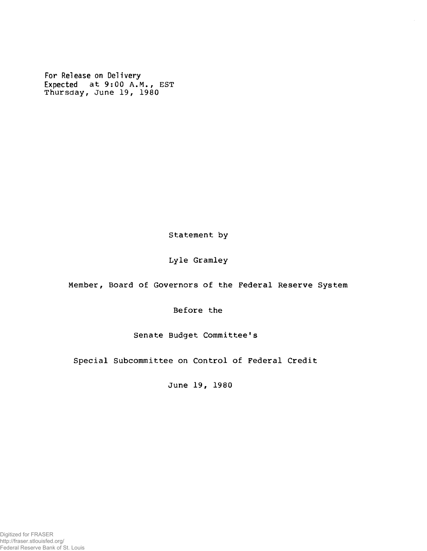**For Release on Delivery Expected at 9:00 A.M., EST Thursday, June 19, 1980**

**Statement by**

**Lyle Gramley**

**Member, Board of Governors of the Federal Reserve System**

**Before the**

**Senate Budget Committee's**

**Special Subcommittee on Control of Federal Credit**

**June 19, 1980**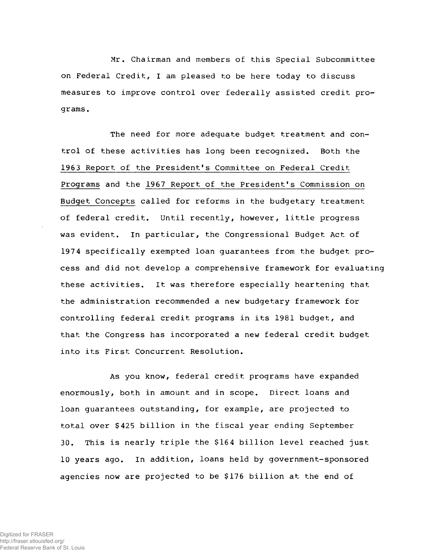**Mr. Chairman and members of this Special Subcommittee on Federal Credit, I am pleased to be here today to discuss measures to improve control over federally assisted credit programs .**

**The need for more adequate budget treatment and control of these activities has long been recognized. Both the 1963 Report of the President's Committee on Federal Credit Programs and the 1967 Report of the President's Commission on Budget Concepts called for reforms in the budgetary treatment of federal credit. Until recently, however, little progress was evident. In particular, the Congressional Budget Act of 197 4 specifically exempted loan guarantees from the budget process and did not develop a comprehensive framework for evaluating these activities. It was therefore especially heartening that the administration recommended a new budgetary framework for controlling federal credit programs in its 1981 budget, and that the Congress has incorporated a new federal credit budget into its First Concurrent Resolution.**

**As you know, federal credit programs have expanded enormously, both in amount and in scope. Direct loans and loan guarantees outstanding, for example, are projected to total over \$425 billion in the fiscal year ending September 30. This is nearly triple the \$164 billion level reached just 10 years ago. In addition, loans held by government-sponsored agencies now are projected to be \$176 billion at the end of**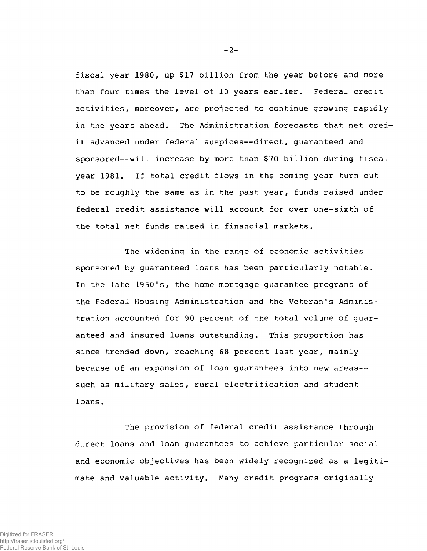**fiscal year 1980, up \$17 billion from the year before and more than four times the level of 10 years earlier. Federal credit activities, moreover, are projected to continue growing rapidly in the years ahead. The Administration forecasts that net credit advanced under federal auspices— direct, guaranteed and sponsored— will increase by more than \$70 billion during fiscal year 1981. If total credit flows in the coming year turn out to be roughly the same as in the past year, funds raised under federal credit assistance will account for over one-sixth of the total net funds raised in financial markets.**

**The widening in the range of economic activities sponsored by guaranteed loans has been particularly notable. In the late 1950's, the home mortgage guarantee programs of the Federal Housing Administration and the Veteran's Administration accounted for 90 percent of the total volume of guaranteed and insured loans outstanding. This proportion has since trended down, reaching 68 percent last year, mainly because of an expansion of loan guarantees into new areas such as military sales, rural electrification and student loans.**

**The provision of federal credit assistance through direct loans and loan guarantees to achieve particular social and economic objectives has been widely recognized as a legitimate and valuable activity. Many credit programs originally**

**- 2-**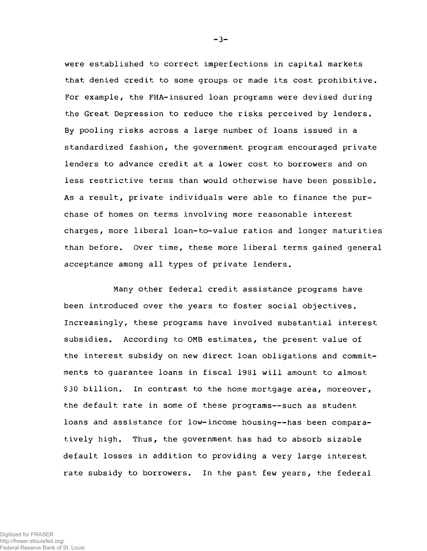**were established to correct imperfections in capital markets that denied credit to some groups or made its cost prohibitive. For example, the FHA-insured loan programs were devised during the Great Depression to reduce the risks perceived by lenders. By pooling risks across a large number of loans issued in a standardized fashion, the government program encouraged private lenders to advance credit at a lower cost to borrowers and on less restrictive terms than would otherwise have been possible. As a result, private individuals were able to finance the purchase of homes on terms involving more reasonable interest charges, more liberal loan-to-value ratios and longer maturities than before. Over time, these more liberal terms gained general acceptance among all types of private lenders.**

**Many other federal credit assistance programs have been introduced over the years to foster social objectives. Increasingly, these programs have involved substantial interest subsidies. According to OMB estimates, the present value of the interest subsidy on new direct loan obligations and commitments to guarantee loans in fiscal 1981 will amount to almost \$30 billion. In contrast to the home mortgage area, moreover, the default rate in some of these programs— such as student** loans and assistance for low-income housing--has been compara**tively high. Thus, the government has had to absorb sizable default losses in addition to providing a very large interest rate subsidy to borrowers. In the past few years, the federal**

**- 3-**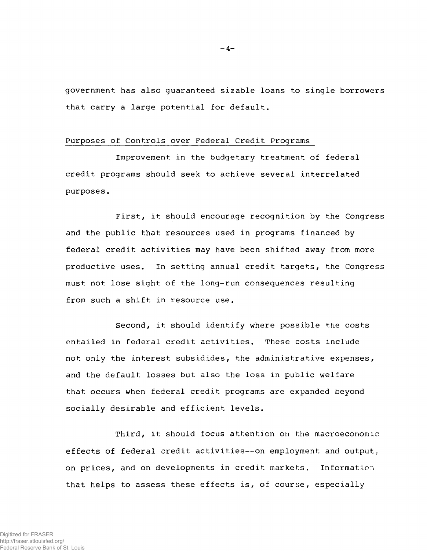**government has also guaranteed sizable loans to single borrowers that carry a large potential for default.**

## **Purposes of Controls over Federal Credit Programs**

**Improvement in the budgetary treatment of federal credit programs should seek to achieve several interrelated purposes.**

**First, it should encourage recognition by the Congress and the public that resources used in programs financed by federal credit activities may have been shifted away from more productive uses. In setting annual credit targets, the Congress must not lose sight of the long-run consequences resulting from such a shift in resource use.**

**Second, it should identify where possible the costs entailed in federal credit activities. These costs include not only the interest subsidides, the administrative expenses, and the default losses but also the loss in public welfare that occurs when federal credit programs are expanded beyond socially desirable and efficient levels.**

**Third, it should focus attention on the macroeconomic effects of federal credit activities— on employment and output; on prices, and on developments in credit markets. Information that helps to assess these effects is, of course, especially**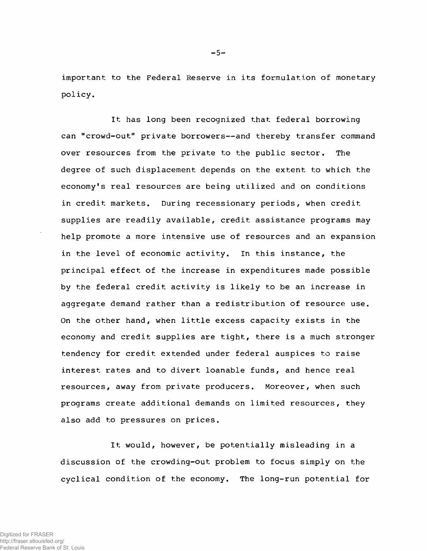**important to the Federal Reserve in its formulation of monetary policy.**

**It has long been recognized that federal borrowing can "crowd-out" private borrowers— and thereby transfer command over resources from the private to the public sector. The degree of such displacement depends on the extent to which the economy's real resources are being utilized and on conditions in credit markets. During recessionary periods, when credit supplies are readily available, credit assistance programs may help promote a more intensive use of resources and an expansion in the level of economic activity. In this instance, the principal effect of the increase in expenditures made possible by the federal credit activity is likely to be an increase in aggregate demand rather than a redistribution of resource use. On the other hand, when little excess capacity exists in the economy and credit supplies are tight, there is a much stronger tendency for credit extended under federal auspices to raise interest rates and to divert loanable funds, and hence real resources, away from private producers. Moreover, when such programs create additional demands on limited resources, they also add to pressures on prices.**

**It would, however, be potentially misleading in a discussion of the crowding-out problem to focus simply on the cyclical condition of the economy. The long-run potential for**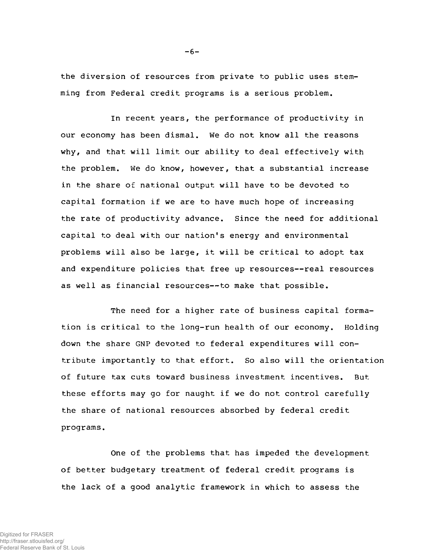**the diversion of resources from private to public uses stemming from Federal credit programs is a serious problem.**

**In recent years, the performance of productivity in our economy has been dismal. We do not know all the reasons why, and that will limit our ability to deal effectively with the problem. We do know, however, that a substantial increase in the share of national output will have to be devoted to capital formation if we are to have much hope of increasing the rate of productivity advance. Since the need for additional capital to deal with our nation's energy and environmental problems will also be large, it will be critical to adopt tax and expenditure policies that free up resources— real resources as well as financial resources— to make that possible.**

**The need for a higher rate of business capital formation is critical to the long-run health of our economy. Holding down the share GNP devoted to federal expenditures will contribute importantly to that effort. So also will the orientation of future tax cuts toward business investment incentives. But these efforts may go for naught if we do not control carefully the share of national resources absorbed by federal credit programs.**

**One of the problems that has impeded the development of better budgetary treatment of federal credit programs is the lack of a good analytic framework in which to assess the**

**- 6-**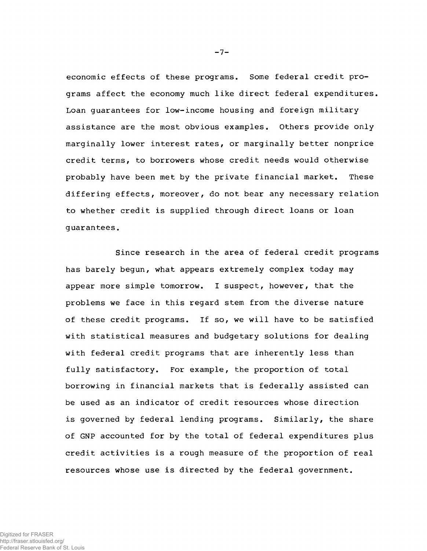**economic effects of these programs. Some federal credit programs affect the economy much like direct federal expenditures. Loan guarantees for low-income housing and foreign military assistance are the most obvious examples. Others provide only marginally lower interest rates, or marginally better nonprice credit terms, to borrowers whose credit needs would otherwise probably have been met by the private financial market. These differing effects, moreover, do not bear any necessary relation to whether credit is supplied through direct loans or loan guarantees.**

**Since research in the area of federal credit programs has barely begun, what appears extremely complex today may appear more simple tomorrow. I suspect, however, that the problems we face in this regard stem from the diverse nature of these credit programs. If so, we will have to be satisfied with statistical measures and budgetary solutions for dealing with federal credit programs that are inherently less than fully satisfactory. For example, the proportion of total borrowing in financial markets that is federally assisted can be used as an indicator of credit resources whose direction is governed by federal lending programs. Similarly, the share of GNP accounted for by the total of federal expenditures plus credit activities is a rough measure of the proportion of real resources whose use is directed by the federal government.**

**- 7-**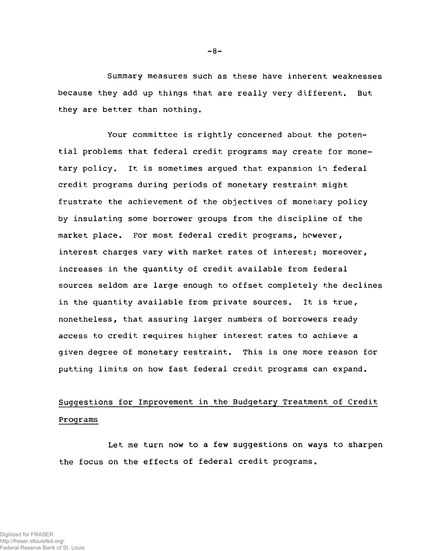**Summary measures such as these have inherent weaknesses because they add up things that are really very different. But they are better than nothing.**

**Your committee is rightly concerned about the potential problems that federal credit programs may create for monetary policy. It is sometimes argued that expansion in federal credit programs during periods of monetary restraint might frustrate the achievement of the objectives of monetary policy by insulating some borrower groups from the discipline of the market place. For most federal credit programs, however, interest charges vary with market rates of interest; moreover, increases in the quantity of credit available from federal sources seldom are large enough to offset completely the declines in the quantity available from private sources. It is true, nonetheless, that assuring larger numbers of borrowers ready access to credit requires higher interest rates to achieve a given degree of monetary restraint. This is one more reason for putting limits on how fast federal credit programs can expand.**

## **Suggestions for Improvement in the Budgetary Treatment of Credit Programs**

**Let me turn now to a few suggestions on ways to sharpen the focus on the effects of federal credit programs.**

**- 8-**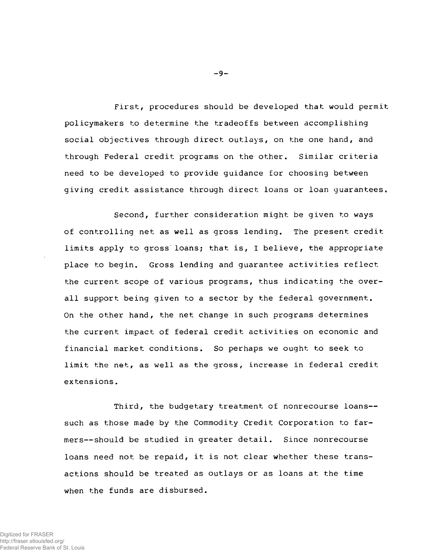**First, procedures should be developed that would permit policymakers to determine the tradeoffs between accomplishing social objectives through direct outlays, on the one hand, and through Federal credit programs on the other. Similar criteria need to be developed to provide guidance for choosing between giving credit assistance through direct loans or loan guarantees.**

**Second, further consideration might be given to ways of controlling net as well as gross lending. The present credit limits apply to gross loans; that is, I believe, the appropriate place to begin. Gross lending and guarantee activities reflect the current scope of various programs, thus indicating the overall support being given to a sector by the federal government. On the other hand, the net change in such programs determines the current impact of federal credit activities on economic and financial market conditions. So perhaps we ought to seek to limit the net, as well as the gross, increase in federal credit extensions.**

**Third, the budgetary treatment of nonrecourse loans such as those made by the Commodity Credit Corporation to farmers— should be studied in greater detail. Since nonrecourse loans need not be repaid, it is not clear whether these transactions should be treated as outlays or as loans at the time when the funds are disbursed.**

**- 9-**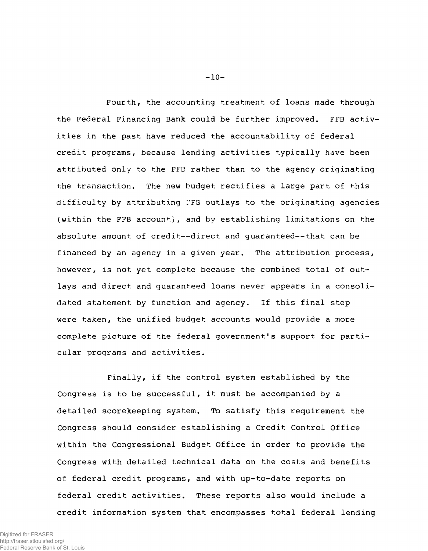**Fourth, the accounting treatment of loans made through the Federal Financing Bank could be further improved. FFB activities in the past have reduced the accountability of federal credit programs, because lending activities typically have been attributed only to the FFB rather than to the agency originating the transaction. The new budget rectifies a large part of this difficulty by attributing I'FS outlays to the originating agencies (within the FFB account), and by establishing limitations on the absolute amount of credit— direct and guaranteed— that can be financed by an agency in a given year. The attribution process, however, is not yet complete because the combined total of outlays and direct and guaranteed loans never appears in a consolidated statement by function and agency. If this final step were taken, the unified budget accounts would provide a more complete picture of the federal government's support for particular programs and activities.**

**Finally, if the control system established by the Congress is to be successful, it must be accompanied by a detailed scorekeeping system. To satisfy this requirement the Congress should consider establishing a Credit Control Office within the Congressional Budget Office in order to provide the Congress with detailed technical data on the costs and benefits of federal credit programs, and with up-to-date reports on federal credit activities. These reports also would include a credit information system that encompasses total federal lending**

**- 10-**